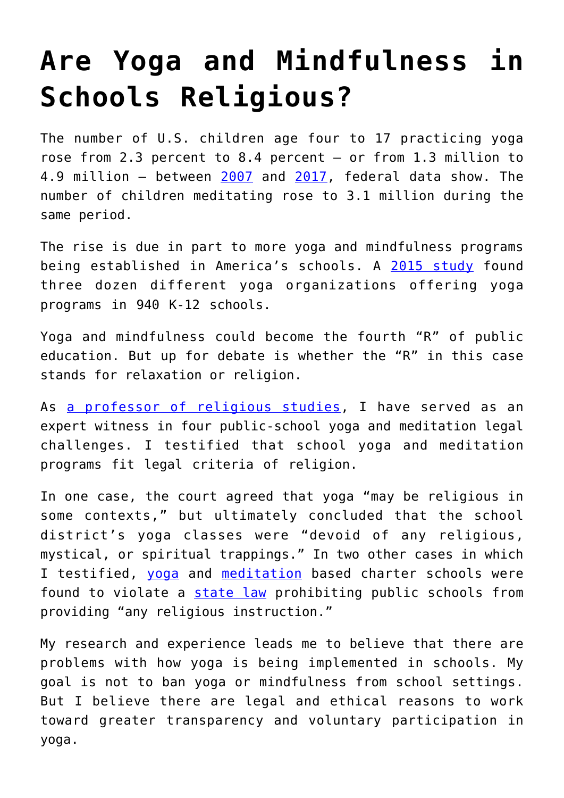## **[Are Yoga and Mindfulness in](https://intellectualtakeout.org/2019/05/are-yoga-and-mindfulness-in-schools-religious/) [Schools Religious?](https://intellectualtakeout.org/2019/05/are-yoga-and-mindfulness-in-schools-religious/)**

The number of U.S. children age four to 17 practicing yoga rose from 2.3 percent to 8.4 percent — or from 1.3 million to 4.9 million — between [2007](https://www.ncbi.nlm.nih.gov/pubmed/25671583) and [2017](https://www.cdc.gov/nchs/data/databriefs/db324-h.pdf), federal data show. The number of children meditating rose to 3.1 million during the same period.

The rise is due in part to more yoga and mindfulness programs being established in America's schools. A [2015 study](https://www.ncbi.nlm.nih.gov/pmc/articles/PMC4831047/) found three dozen different yoga organizations offering yoga programs in 940 K-12 schools.

Yoga and mindfulness could become the fourth "R" of public education. But up for debate is whether the "R" in this case stands for relaxation or religion.

As [a professor of religious studies](http://indiana.edu/%7Erelstud/people/profiles/brown_candy), I have served as an expert witness in four public-school yoga and meditation legal challenges. I testified that school yoga and meditation programs fit legal criteria of religion.

In one case, the court agreed that yoga "may be religious in some contexts," but ultimately concluded that the school district's yoga classes were "devoid of any religious, mystical, or spiritual trappings." In two other cases in which I testified, [yoga](https://www.education.pa.gov/K-12/Charter%20Schools/Charter%20Board%20Appeal%20Opinions/2013-10,%20Education%20for%20New%20Generations%20Charter%20School%20-%20recon.pdf) and [meditation](https://courtsapp.montcopa.org/psi/v/detail/Case/201078753#/) based charter schools were found to violate a [state law](https://www.legis.state.pa.us/cfdocs/legis/LI/uconsCheck.cfm?txtType=HTM&yr=1949&sessInd=0&smthLwInd=0&act=014&chpt=17A) prohibiting public schools from providing "any religious instruction."

My research and experience leads me to believe that there are problems with how yoga is being implemented in schools. My goal is not to ban yoga or mindfulness from school settings. But I believe there are legal and ethical reasons to work toward greater transparency and voluntary participation in yoga.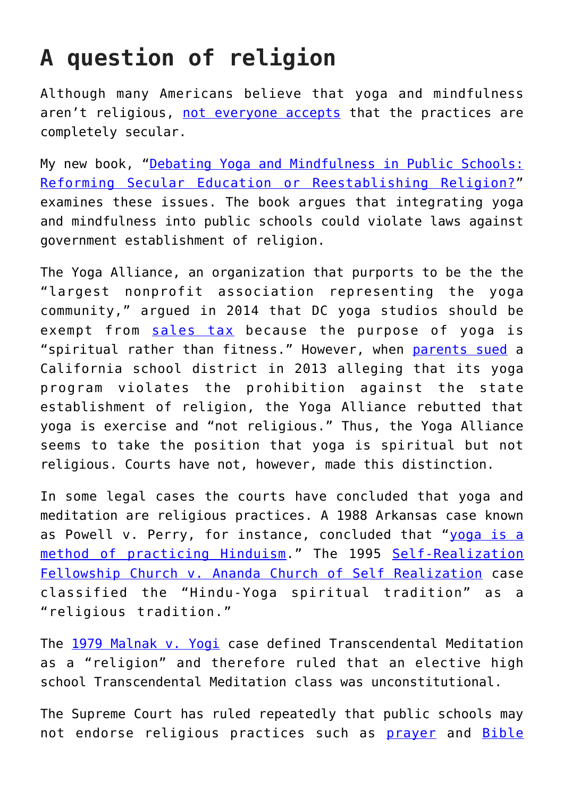## **A question of religion**

Although many Americans believe that yoga and mindfulness aren't religious, [not everyone accepts](https://www.theatlantic.com/education/archive/2018/09/why-schools-are-banning-yoga/570904/) that the practices are completely secular.

My new book, "[Debating Yoga and Mindfulness in Public Schools:](https://www.uncpress.org/book/9781469648484/debating-yoga-and-mindfulness-in-public-schools/) [Reforming Secular Education or Reestablishing Religion?"](https://www.uncpress.org/book/9781469648484/debating-yoga-and-mindfulness-in-public-schools/) examines these issues. The book argues that integrating yoga and mindfulness into public schools could violate laws against government establishment of religion.

The Yoga Alliance, an organization that purports to be the the "largest nonprofit association representing the yoga community," argued in 2014 that DC yoga studios should be exempt from [sales tax](https://www.yogaalliance.org/the_dc_yoga_tax_isnt_really_a_yoga_tax) because the purpose of yoga is "spiritual rather than fitness." However, when [parents sued](https://caselaw.findlaw.com/ca-court-of-appeal/1696669.html) a California school district in 2013 alleging that its yoga program violates the prohibition against the state establishment of religion, the Yoga Alliance rebutted that yoga is exercise and "not religious." Thus, the Yoga Alliance seems to take the position that yoga is spiritual but not religious. Courts have not, however, made this distinction.

In some legal cases the courts have concluded that yoga and meditation are religious practices. A 1988 Arkansas case known as Powell v. Perry, for instance, concluded that "[yoga is a](https://yogaencinitasstudents.files.wordpress.com/2014/09/yesyogarb.pdf) [method of practicing Hinduism](https://yogaencinitasstudents.files.wordpress.com/2014/09/yesyogarb.pdf)." The 1995 [Self-Realization](https://caselaw.findlaw.com/us-9th-circuit/1224987.html) [Fellowship Church v. Ananda Church of Self Realization](https://caselaw.findlaw.com/us-9th-circuit/1224987.html) case classified the "Hindu-Yoga spiritual tradition" as a "religious tradition."

The [1979 Malnak v. Yogi](https://casetext.com/case/malnak-v-yogi) case defined Transcendental Meditation as a "religion" and therefore ruled that an elective high school Transcendental Meditation class was unconstitutional.

The Supreme Court has ruled repeatedly that public schools may not endorse religious practices such as [prayer](https://supreme.justia.com/cases/federal/us/370/421/#tab-opinion-1943887) and [Bible](https://supreme.justia.com/cases/federal/us/374/203/#tab-opinion-1944457)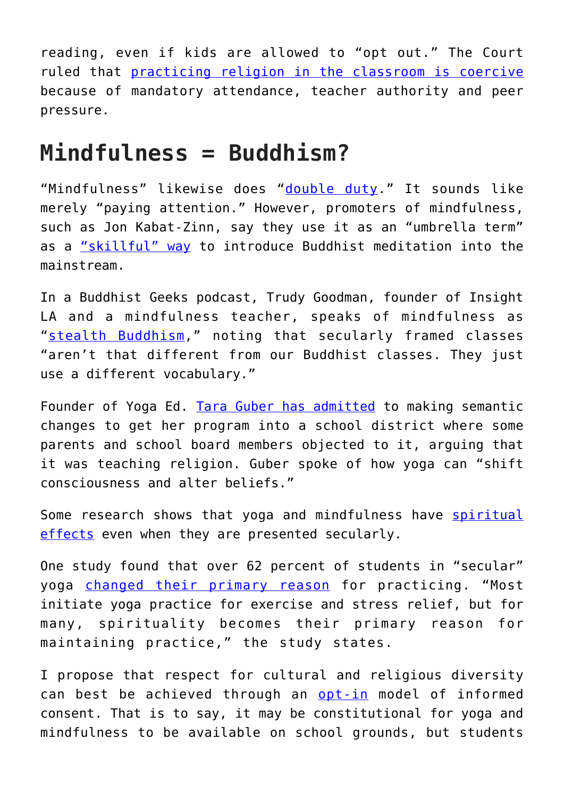reading, even if kids are allowed to "opt out." The Court ruled that [practicing religion in the classroom is coercive](https://supreme.justia.com/cases/federal/us/482/578/#tab-opinion-1957185) because of mandatory attendance, teacher authority and peer pressure.

## **Mindfulness = Buddhism?**

"Mindfulness" likewise does "[double duty](https://link.springer.com/content/pdf/bfm%3A978-0-387-09593-6%2F1.pdf)." It sounds like merely "paying attention." However, promoters of mindfulness, such as Jon Kabat-Zinn, say they use it as an "umbrella term" as a ["skillful" way](https://link.springer.com/content/pdf/bfm%3A978-0-387-09593-6%2F1.pdf#page=24) to introduce Buddhist meditation into the mainstream.

In a Buddhist Geeks podcast, Trudy Goodman, founder of Insight LA and a mindfulness teacher, speaks of mindfulness as "[stealth Buddhism](https://web.archive.org/web/20160405015832/http:/www.buddhistgeeks.com/2014/08/bg-331-stealth-buddhism/)," noting that secularly framed classes "aren't that different from our Buddhist classes. They just use a different vocabulary."

Founder of Yoga Ed. [Tara Guber has admitted](https://www.hinduismtoday.com/modules/smartsection/item.php?itemid=1328) to making semantic changes to get her program into a school district where some parents and school board members objected to it, arguing that it was teaching religion. Guber spoke of how yoga can "shift consciousness and alter beliefs."

Some research shows that yoga and mindfulness have [spiritual](https://www.ncbi.nlm.nih.gov/pmc/articles/PMC3151546/) [effects](https://www.ncbi.nlm.nih.gov/pubmed/18374738) even when they are presented secularly.

One study found that over 62 percent of students in "secular" yoga [changed their primary reason](https://www.ncbi.nlm.nih.gov/pubmed/25030795) for practicing. "Most initiate yoga practice for exercise and stress relief, but for many, spirituality becomes their primary reason for maintaining practice," the study states.

I propose that respect for cultural and religious diversity can best be achieved through an [opt-in](https://www.insightsassociation.org/article/opt-vs-opt-out-debate) model of informed consent. That is to say, it may be constitutional for yoga and mindfulness to be available on school grounds, but students